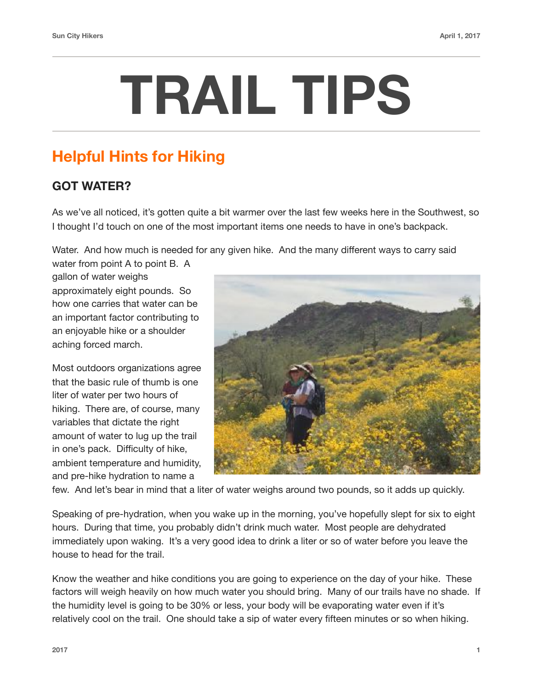## **TRAIL TIPS**

## **Helpful Hints for Hiking**

## **GOT WATER?**

As we've all noticed, it's gotten quite a bit warmer over the last few weeks here in the Southwest, so I thought I'd touch on one of the most important items one needs to have in one's backpack.

Water. And how much is needed for any given hike. And the many different ways to carry said

water from point A to point B. A gallon of water weighs approximately eight pounds. So how one carries that water can be an important factor contributing to an enjoyable hike or a shoulder aching forced march.

Most outdoors organizations agree that the basic rule of thumb is one liter of water per two hours of hiking. There are, of course, many variables that dictate the right amount of water to lug up the trail in one's pack. Difficulty of hike, ambient temperature and humidity, and pre-hike hydration to name a



few. And let's bear in mind that a liter of water weighs around two pounds, so it adds up quickly.

Speaking of pre-hydration, when you wake up in the morning, you've hopefully slept for six to eight hours. During that time, you probably didn't drink much water. Most people are dehydrated immediately upon waking. It's a very good idea to drink a liter or so of water before you leave the house to head for the trail.

Know the weather and hike conditions you are going to experience on the day of your hike. These factors will weigh heavily on how much water you should bring. Many of our trails have no shade. If the humidity level is going to be 30% or less, your body will be evaporating water even if it's relatively cool on the trail. One should take a sip of water every fifteen minutes or so when hiking.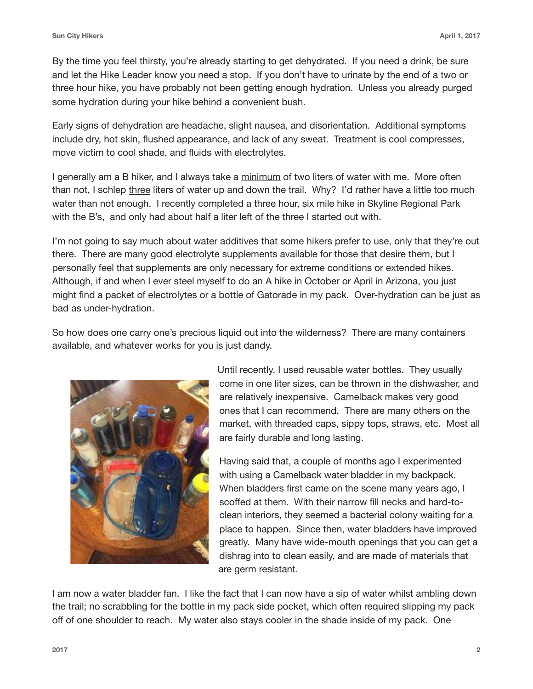By the time you feel thirsty, you're already starting to get dehydrated. If you need a drink, be sure and let the Hike Leader know you need a stop. If you don't have to urinate by the end of a two or three hour hike, you have probably not been getting enough hydration. Unless you already purged some hydration during your hike behind a convenient bush.

Early signs of dehydration are headache, slight nausea, and disorientation. Additional symptoms include dry, hot skin, flushed appearance, and lack of any sweat. Treatment is cool compresses, move victim to cool shade, and fluids with electrolytes.

I generally am a B hiker, and I always take a minimum of two liters of water with me. More often than not, I schlep three liters of water up and down the trail. Why? I'd rather have a little too much water than not enough. I recently completed a three hour, six mile hike in Skyline Regional Park with the B's, and only had about half a liter left of the three I started out with.

I'm not going to say much about water additives that some hikers prefer to use, only that they're out there. There are many good electrolyte supplements available for those that desire them, but I personally feel that supplements are only necessary for extreme conditions or extended hikes. Although, if and when I ever steel myself to do an A hike in October or April in Arizona, you just might find a packet of electrolytes or a bottle of Gatorade in my pack. Over-hydration can be just as bad as under-hydration.

So how does one carry one's precious liquid out into the wilderness? There are many containers available, and whatever works for you is just dandy.



Until recently, I used reusable water bottles. They usually come in one liter sizes, can be thrown in the dishwasher, and are relatively inexpensive. Camelback makes very good ones that I can recommend. There are many others on the market, with threaded caps, sippy tops, straws, etc. Most all are fairly durable and long lasting.

Having said that, a couple of months ago I experimented with using a Camelback water bladder in my backpack. When bladders first came on the scene many years ago, I scoffed at them. With their narrow fill necks and hard-toclean interiors, they seemed a bacterial colony waiting for a place to happen. Since then, water bladders have improved greatly. Many have wide-mouth openings that you can get a dishrag into to clean easily, and are made of materials that are germ resistant.

I am now a water bladder fan. I like the fact that I can now have a sip of water whilst ambling down the trail; no scrabbling for the bottle in my pack side pocket, which often required slipping my pack off of one shoulder to reach. My water also stays cooler in the shade inside of my pack. One